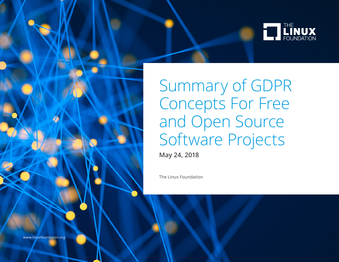

Summary of GDPR Concepts For Free and Open Source Software Projects

**May 24, 2018**

The Linux Foundation

www.linuxfoundation.org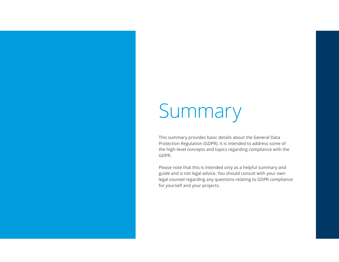# Summary

This summary provides basic details about the General Data Protection Regulation (GDPR). It is intended to address some of the high-level concepts and topics regarding compliance with the GDPR.

Please note that this is intended only as a helpful summary and guide and is not legal advice. You should consult with your own legal counsel regarding any questions relating to GDPR compliance for yourself and your projects.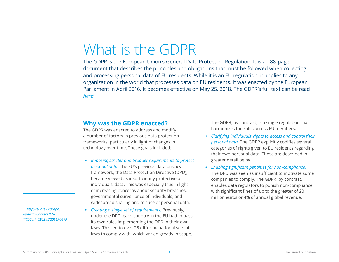# What is the GDPR

The GDPR is the European Union's General Data Protection Regulation. It is an 88-page document that describes the principles and obligations that must be followed when collecting and processing personal data of EU residents. While it is an EU regulation, it applies to any organization in the world that processes data on EU residents. It was enacted by the European Parliament in April 2016. It becomes effective on May 25, 2018. The GDPR's full text can be read *[here1](http://eur-lex.europa.eu/legal-content/EN/TXT/?uri=CELEX:32016R0679)* .

#### **Why was the GDPR enacted?**

The GDPR was enacted to address and modify a number of factors in previous data protection frameworks, particularly in light of changes in technology over time. These goals included:

- **•** *Imposing stricter and broader requirements to protect personal data.* The EU's previous data privacy framework, the Data Protection Directive (DPD), became viewed as insufficiently protective of individuals' data. This was especially true in light of increasing concerns about security breaches, governmental surveillance of individuals, and widespread sharing and misuse of personal data.
- **•** *Creating a single set of requirements.* Previously, under the DPD, each country in the EU had to pass its own rules implementing the DPD in their own laws. This led to over 25 differing national sets of laws to comply with, which varied greatly in scope.

The GDPR, by contrast, is a single regulation that harmonizes the rules across EU members.

- **•** *Clarifying individuals' rights to access and control their personal data.* The GDPR explicitly codifies several categories of rights given to EU residents regarding their own personal data. These are described in greater detail below.
- **•** *Enabling significant penalties for non-compliance.*  The DPD was seen as insufficient to motivate some companies to comply. The GDPR, by contrast, enables data regulators to punish non-compliance with significant fines of up to the greater of 20 million euros or 4% of annual global revenue.

1 *[http://eur-lex.europa.](http://eur-lex.europa.eu/legal-content/EN/TXT/?uri=CELEX:32016R0679) [eu/legal-content/EN/](http://eur-lex.europa.eu/legal-content/EN/TXT/?uri=CELEX:32016R0679) [TXT/?uri=CELEX:32016R0679](http://eur-lex.europa.eu/legal-content/EN/TXT/?uri=CELEX:32016R0679)*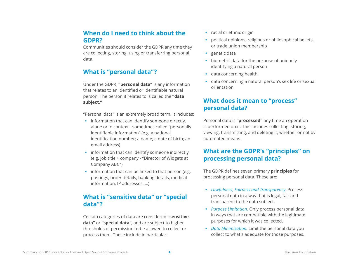#### **When do I need to think about the GDPR?**

Communities should consider the GDPR any time they are collecting, storing, using or transferring personal data.

### **What is "personal data"?**

Under the GDPR, **"personal data"** is any information that relates to an identified or identifiable natural person. The person it relates to is called the **"data subject."**

"Personal data" is an extremely broad term. It includes:

- **•** information that can identify someone directly, alone or in context - sometimes called "personally identifiable information" (e.g. a national identification number; a name; a date of birth; an email address)
- **•** information that can identify someone indirectly (e.g. job title + company - "Director of Widgets at Company ABC")
- **•** information that can be linked to that person (e.g. postings, order details, banking details, medical information, IP addresses, …)

#### **What is "sensitive data" or "special data"?**

Certain categories of data are considered **"sensitive data"** or **"special data"**, and are subject to higher thresholds of permission to be allowed to collect or process them. These include in particular:

- **•** racial or ethnic origin
- **•** political opinions, religious or philosophical beliefs, or trade union membership
- **•** genetic data
- **•** biometric data for the purpose of uniquely identifying a natural person
- **•** data concerning health
- **•** data concerning a natural person's sex life or sexual orientation

### **What does it mean to "process" personal data?**

Personal data is **"processed"** any time an operation is performed on it. This includes collecting, storing, viewing, transmitting, and deleting it, whether or not by automated means.

### **What are the GDPR's "principles" on processing personal data?**

The GDPR defines seven primary **principles** for processing personal data. These are:

- **•** *Lawfulness, Fairness and Transparency.* Process personal data in a way that is legal, fair and transparent to the data subject.
- **•** *Purpose Limitation.* Only process personal data in ways that are compatible with the legitimate purposes for which it was collected.
- **•** *Data Minimisation.* Limit the personal data you collect to what's adequate for those purposes.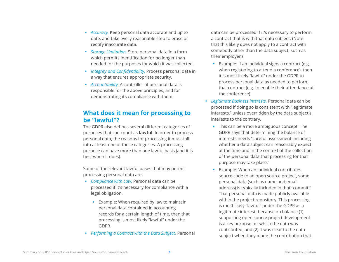- **•** *Accuracy.* Keep personal data accurate and up to date, and take every reasonable step to erase or rectify inaccurate data.
- **•** *Storage Limitation.* Store personal data in a form which permits identification for no longer than needed for the purposes for which it was collected.
- **•** *Integrity and Confidentiality.* Process personal data in a way that ensures appropriate security.
- **•** *Accountability.* A controller of personal data is responsible for the above principles, and for demonstrating its compliance with them.

#### **What does it mean for processing to be "lawful"?**

The GDPR also defines several different categories of purposes that can count as **lawful**. In order to process personal data, the reasons for processing it must fall into at least one of these categories. A processing purpose can have more than one lawful basis (and it is best when it does).

Some of the relevant lawful bases that may permit processing personal data are:

- **•** *Compliance with Law.* Personal data can be processed if it's necessary for compliance with a legal obligation.
	- **•** Example: When required by law to maintain personal data contained in accounting records for a certain length of time, then that processing is most likely "lawful" under the GDPR.
- **•** *Performing a Contract with the Data Subject.* Personal

data can be processed if it's necessary to perform a contract that is with that data subject. (Note that this likely does not apply to a contract with somebody other than the data subject, such as their employer.)

- **•** Example: If an individual signs a contract (e.g. when registering to attend a conference), then it is most likely "lawful" under the GDPR to process personal data as needed to perform that contract (e.g. to enable their attendance at the conference).
- **•** *Legitimate Business Interests.* Personal data can be processed if doing so is consistent with "legitimate interests," unless overridden by the data subject's interests to the contrary.
	- **•** This can be a more ambiguous concept. The GDPR says that determining the balance of interests needs "careful assessment including whether a data subject can reasonably expect at the time and in the context of the collection of the personal data that processing for that purpose may take place."
	- **•** Example: When an individual contributes source code to an open source project, some personal data (such as name and email address) is typically included in that "commit." That personal data is made publicly available within the project repository. This processing is most likely "lawful" under the GDPR as a legitimate interest, because on balance (1) supporting open source project development is a key purpose for which the data was contributed, and (2) it was clear to the data subject when they made the contribution that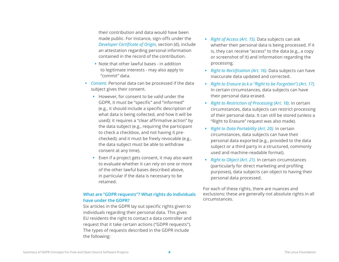their contribution and data would have been made public. For instance, sign-offs under the *[Developer Certificate of Origin](https://developercertificate.org/)*, section (d), include an attestation regarding personal information contained in the record of the contribution.

- **•** Note that other lawful bases in addition to legitimate interests - may also apply to "commit" data.
- **•** *Consent.* Personal data can be processed if the data subject gives their consent.
	- **•** However, for consent to be valid under the GDPR, it must be "specific" and "informed" (e.g., it should include a specific description of what data is being collected, and how it will be used); it requires a "clear affirmative action" by the data subject (e.g., requiring the participant to check a checkbox, and not having it prechecked); and it must be freely revocable (e.g., the data subject must be able to withdraw consent at any time).
	- **•** Even if a project gets consent, it may also want to evaluate whether it can rely on one or more of the other lawful bases described above, in particular if the data is necessary to be retained.

#### **What are "GDPR requests"? What rights do individuals have under the GDPR?**

Six articles in the GDPR lay out specific rights given to individuals regarding their personal data. This gives EU residents the right to contact a data controller and request that it take certain actions ("GDPR requests"). The types of requests described in the GDPR include the following:

- **•** *Right of Access (Art. 15).* Data subjects can ask whether their personal data is being processed. If it is, they can receive "access" to the data (e.g., a copy or screenshot of it) and information regarding the processing.
- **•** *Right to Rectification (Art. 16).* Data subjects can have inaccurate data updated and corrected.
- **•** *Right to Erasure (a.k.a "Right to be Forgotten") (Art. 17).* In certain circumstances, data subjects can have their personal data erased.
- **•** *Right to Restriction of Processing (Art. 18).* In certain circumstances, data subjects can restrict processing of their personal data. It can still be stored (unless a "Right to Erasure" request was also made).
- **•** *Right to Data Portability (Art. 20).* In certain circumstances, data subjects can have their personal data exported (e.g., provided to the data subject or a third party in a structured, commonly used and machine-readable format).
- **•** *Right to Object (Art. 21).* In certain circumstances (particularly for direct marketing and profiling purposes), data subjects can object to having their personal data processed.

For each of these rights, there are nuances and exclusions; these are generally not absolute rights in all circumstances.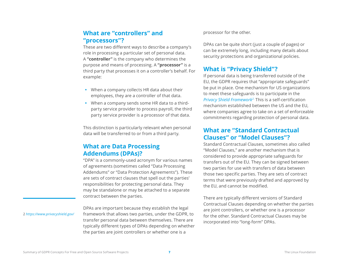#### **What are "controllers" and "processors"?**

These are two different ways to describe a company's role in processing a particular set of personal data. A **"controller"** is the company who determines the purpose and means of processing. A **"processor"** is a third party that processes it on a controller's behalf. For example:

- **•** When a company collects HR data about their employees, they are a controller of that data.
- **•** When a company sends some HR data to a thirdparty service provider to process payroll, the third party service provider is a processor of that data.

This distinction is particularly relevant when personal data will be transferred to or from a third party.

## **What are Data Processing Addendums (DPAs)?**

"DPA" is a commonly-used acronym for various names of agreements (sometimes called "Data Processing Addendums" or "Data Protection Agreements"). These are sets of contract clauses that spell out the parties' responsibilities for protecting personal data. They may be standalone or may be attached to a separate contract between the parties.

DPAs are important because they establish the legal framework that allows two parties, under the GDPR, to transfer personal data between themselves. There are typically different types of DPAs depending on whether the parties are joint controllers or whether one is a

processor for the other.

DPAs can be quite short (just a couple of pages) or can be extremely long, including many details about security protections and organizational policies.

### **What is "Privacy Shield"?**

If personal data is being transferred outside of the EU, the GDPR requires that "appropriate safeguards" be put in place. One mechanism for US organizations to meet these safeguards is to participate in the *[Privacy Shield Framework](https://www.privacyshield.gov/)2*. This is a self-certification mechanism established between the US and the EU, where companies agree to take on a set of enforceable commitments regarding protection of personal data.

#### **What are "Standard Contractual Clauses" or "Model Clauses"?**

Standard Contractual Clauses, sometimes also called "Model Clauses," are another mechanism that is considered to provide appropriate safeguards for transfers out of the EU. They can be signed between two parties for use with transfers of data between those two specific parties. They are sets of contract terms that were previously drafted and approved by the EU, and cannot be modified.

There are typically different versions of Standard Contractual Clauses depending on whether the parties are joint controllers, or whether one is a processor for the other. Standard Contractual Clauses may be incorporated into "long-form" DPAs.

#### 2 *<https://www.privacyshield.gov/>*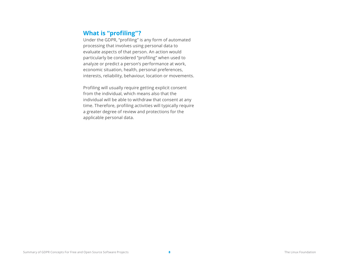#### **What is "profiling"?**

Under the GDPR, "profiling" is any form of automated processing that involves using personal data to evaluate aspects of that person. An action would particularly be considered "profiling" when used to analyze or predict a person's performance at work, economic situation, health, personal preferences, interests, reliability, behaviour, location or movements.

Profiling will usually require getting explicit consent from the individual, which means also that the individual will be able to withdraw that consent at any time. Therefore, profiling activities will typically require a greater degree of review and protections for the applicable personal data.